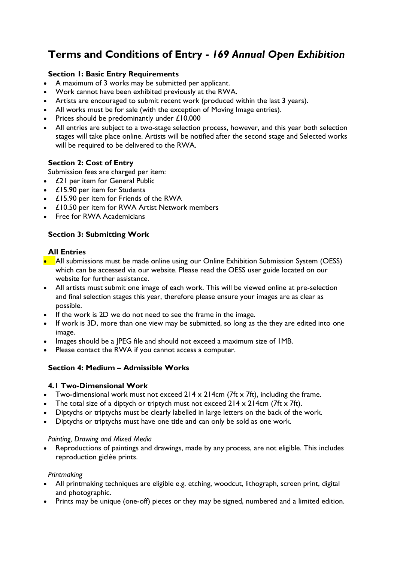# **Terms and Conditions of Entry -** *169 Annual Open Exhibition*

## **Section 1: Basic Entry Requirements**

- A maximum of 3 works may be submitted per applicant.
- Work cannot have been exhibited previously at the RWA.
- Artists are encouraged to submit recent work (produced within the last 3 years).
- All works must be for sale (with the exception of Moving Image entries).
- Prices should be predominantly under £10,000
- All entries are subject to a two-stage selection process, however, and this year both selection stages will take place online. Artists will be notified after the second stage and Selected works will be required to be delivered to the RWA.

## **Section 2: Cost of Entry**

Submission fees are charged per item:

- £21 per item for General Public
- £15.90 per item for Students
- £15.90 per item for Friends of the RWA
- £10.50 per item for RWA Artist Network members
- Free for RWA Academicians

## **Section 3: Submitting Work**

#### **All Entries**

- All submissions must be made online using our Online Exhibition Submission System (OESS) which can be accessed via our website. Please read the OESS user guide located on our website for further assistance.
- All artists must submit one image of each work. This will be viewed online at pre-selection and final selection stages this year, therefore please ensure your images are as clear as possible.
- If the work is 2D we do not need to see the frame in the image.
- If work is 3D, more than one view may be submitted, so long as the they are edited into one image.
- Images should be a JPEG file and should not exceed a maximum size of 1MB.
- Please contact the RWA if you cannot access a computer.

## **Section 4: Medium – Admissible Works**

#### **4.1 Two-Dimensional Work**

- Two-dimensional work must not exceed  $214 \times 214$ cm (7ft x 7ft), including the frame.
- The total size of a diptych or triptych must not exceed  $214 \times 214$ cm (7ft x 7ft).
- Diptychs or triptychs must be clearly labelled in large letters on the back of the work.
- Diptychs or triptychs must have one title and can only be sold as one work.

#### *Painting, Drawing and Mixed Media*

• Reproductions of paintings and drawings, made by any process, are not eligible. This includes reproduction giclée prints.

#### *Printmaking*

- All printmaking techniques are eligible e.g. etching, woodcut, lithograph, screen print, digital and photographic.
- Prints may be unique (one-off) pieces or they may be signed, numbered and a limited edition.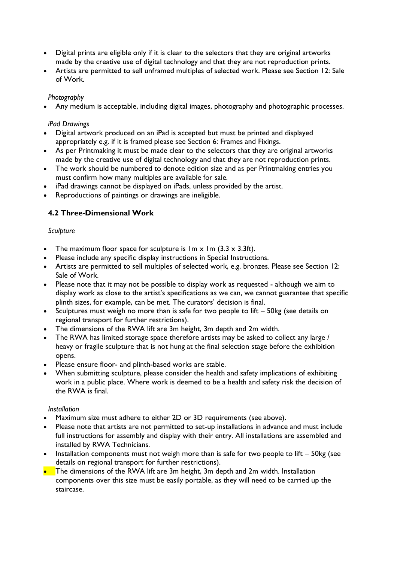- Digital prints are eligible only if it is clear to the selectors that they are original artworks made by the creative use of digital technology and that they are not reproduction prints.
- Artists are permitted to sell unframed multiples of selected work. Please see Section 12: Sale of Work.

#### *Photography*

• Any medium is acceptable, including digital images, photography and photographic processes.

#### *iPad Drawings*

- Digital artwork produced on an iPad is accepted but must be printed and displayed appropriately e.g. if it is framed please see Section 6: Frames and Fixings.
- As per Printmaking it must be made clear to the selectors that they are original artworks made by the creative use of digital technology and that they are not reproduction prints.
- The work should be numbered to denote edition size and as per Printmaking entries you must confirm how many multiples are available for sale.
- iPad drawings cannot be displayed on iPads, unless provided by the artist.
- Reproductions of paintings or drawings are ineligible.

# **4.2 Three-Dimensional Work**

#### *Sculpture*

- The maximum floor space for sculpture is  $Im x Im (3.3 x 3.3 ft)$ .
- Please include any specific display instructions in Special Instructions.
- Artists are permitted to sell multiples of selected work, e.g. bronzes. Please see Section 12: Sale of Work.
- Please note that it may not be possible to display work as requested although we aim to display work as close to the artist's specifications as we can, we cannot guarantee that specific plinth sizes, for example, can be met. The curators' decision is final.
- Sculptures must weigh no more than is safe for two people to lift 50kg (see details on regional transport for further restrictions).
- The dimensions of the RWA lift are 3m height, 3m depth and 2m width.
- The RWA has limited storage space therefore artists may be asked to collect any large / heavy or fragile sculpture that is not hung at the final selection stage before the exhibition opens.
- Please ensure floor- and plinth-based works are stable.
- When submitting sculpture, please consider the health and safety implications of exhibiting work in a public place. Where work is deemed to be a health and safety risk the decision of the RWA is final.

#### *Installation*

- Maximum size must adhere to either 2D or 3D requirements (see above).
- Please note that artists are not permitted to set-up installations in advance and must include full instructions for assembly and display with their entry. All installations are assembled and installed by RWA Technicians.
- Installation components must not weigh more than is safe for two people to lift  $-$  50kg (see details on regional transport for further restrictions).
- The dimensions of the RWA lift are 3m height, 3m depth and 2m width. Installation components over this size must be easily portable, as they will need to be carried up the staircase.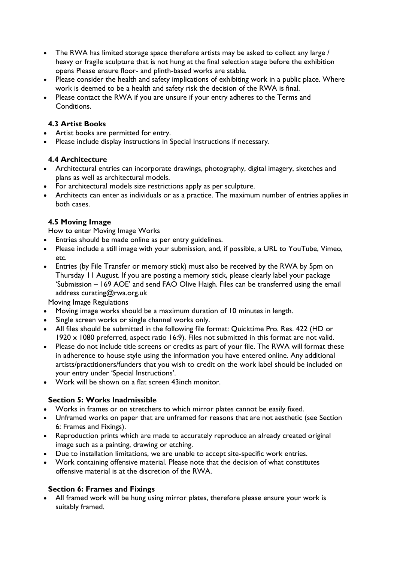- The RWA has limited storage space therefore artists may be asked to collect any large / heavy or fragile sculpture that is not hung at the final selection stage before the exhibition opens Please ensure floor- and plinth-based works are stable.
- Please consider the health and safety implications of exhibiting work in a public place. Where work is deemed to be a health and safety risk the decision of the RWA is final.
- Please contact the RWA if you are unsure if your entry adheres to the Terms and Conditions.

# **4.3 Artist Books**

- Artist books are permitted for entry.
- Please include display instructions in Special Instructions if necessary.

## **4.4 Architecture**

- Architectural entries can incorporate drawings, photography, digital imagery, sketches and plans as well as architectural models.
- For architectural models size restrictions apply as per sculpture.
- Architects can enter as individuals or as a practice. The maximum number of entries applies in both cases.

## **4.5 Moving Image**

How to enter Moving Image Works

- Entries should be made online as per entry guidelines.
- Please include a still image with your submission, and, if possible, a URL to YouTube, Vimeo, etc.
- Entries (by File Transfer or memory stick) must also be received by the RWA by 5pm on Thursday 11 August. If you are posting a memory stick, please clearly label your package 'Submission – 169 AOE' and send FAO Olive Haigh. Files can be transferred using the email address curating@rwa.org.uk

Moving Image Regulations

- Moving image works should be a maximum duration of 10 minutes in length.
- Single screen works or single channel works only.
- All files should be submitted in the following file format: Quicktime Pro. Res. 422 (HD or 1920 x 1080 preferred, aspect ratio 16:9). Files not submitted in this format are not valid.
- Please do not include title screens or credits as part of your file. The RWA will format these in adherence to house style using the information you have entered online. Any additional artists/practitioners/funders that you wish to credit on the work label should be included on your entry under 'Special Instructions'.
- Work will be shown on a flat screen 43inch monitor.

## **Section 5: Works Inadmissible**

- Works in frames or on stretchers to which mirror plates cannot be easily fixed.
- Unframed works on paper that are unframed for reasons that are not aesthetic (see Section 6: Frames and Fixings).
- Reproduction prints which are made to accurately reproduce an already created original image such as a painting, drawing or etching.
- Due to installation limitations, we are unable to accept site-specific work entries.
- Work containing offensive material. Please note that the decision of what constitutes offensive material is at the discretion of the RWA.

## **Section 6: Frames and Fixings**

• All framed work will be hung using mirror plates, therefore please ensure your work is suitably framed.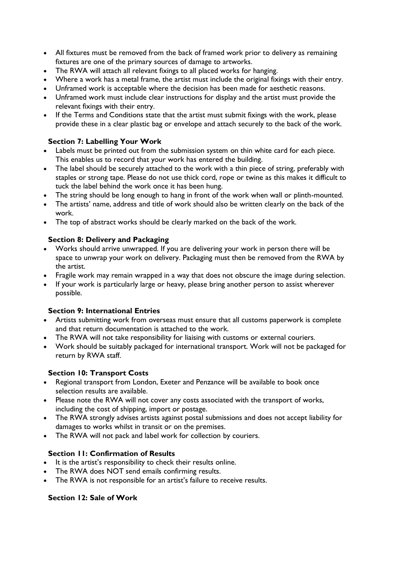- All fixtures must be removed from the back of framed work prior to delivery as remaining fixtures are one of the primary sources of damage to artworks.
- The RWA will attach all relevant fixings to all placed works for hanging.
- Where a work has a metal frame, the artist must include the original fixings with their entry.
- Unframed work is acceptable where the decision has been made for aesthetic reasons.
- Unframed work must include clear instructions for display and the artist must provide the relevant fixings with their entry.
- If the Terms and Conditions state that the artist must submit fixings with the work, please provide these in a clear plastic bag or envelope and attach securely to the back of the work.

## **Section 7: Labelling Your Work**

- Labels must be printed out from the submission system on thin white card for each piece. This enables us to record that your work has entered the building.
- The label should be securely attached to the work with a thin piece of string, preferably with staples or strong tape. Please do not use thick cord, rope or twine as this makes it difficult to tuck the label behind the work once it has been hung.
- The string should be long enough to hang in front of the work when wall or plinth-mounted.
- The artists' name, address and title of work should also be written clearly on the back of the work.
- The top of abstract works should be clearly marked on the back of the work.

#### **Section 8: Delivery and Packaging**

- Works should arrive unwrapped. If you are delivering your work in person there will be space to unwrap your work on delivery. Packaging must then be removed from the RWA by the artist.
- Fragile work may remain wrapped in a way that does not obscure the image during selection.
- If your work is particularly large or heavy, please bring another person to assist wherever possible.

#### **Section 9: International Entries**

- Artists submitting work from overseas must ensure that all customs paperwork is complete and that return documentation is attached to the work.
- The RWA will not take responsibility for liaising with customs or external couriers.
- Work should be suitably packaged for international transport. Work will not be packaged for return by RWA staff.

## **Section 10: Transport Costs**

- Regional transport from London, Exeter and Penzance will be available to book once selection results are available.
- Please note the RWA will not cover any costs associated with the transport of works, including the cost of shipping, import or postage.
- The RWA strongly advises artists against postal submissions and does not accept liability for damages to works whilst in transit or on the premises.
- The RWA will not pack and label work for collection by couriers.

## **Section 11: Confirmation of Results**

- It is the artist's responsibility to check their results online.
- The RWA does NOT send emails confirming results.
- The RWA is not responsible for an artist's failure to receive results.

## **Section 12: Sale of Work**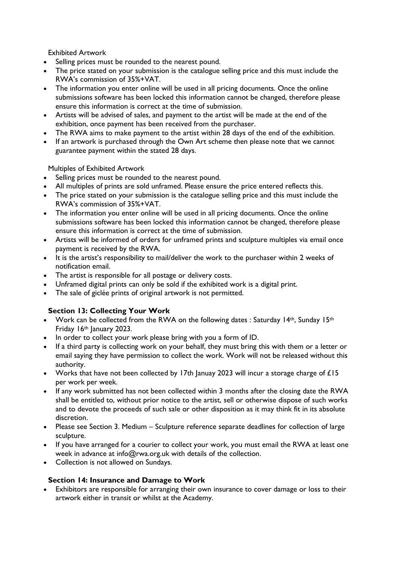Exhibited Artwork

- Selling prices must be rounded to the nearest pound.
- The price stated on your submission is the catalogue selling price and this must include the RWA's commission of 35%+VAT.
- The information you enter online will be used in all pricing documents. Once the online submissions software has been locked this information cannot be changed, therefore please ensure this information is correct at the time of submission.
- Artists will be advised of sales, and payment to the artist will be made at the end of the exhibition, once payment has been received from the purchaser.
- The RWA aims to make payment to the artist within 28 days of the end of the exhibition.
- If an artwork is purchased through the Own Art scheme then please note that we cannot guarantee payment within the stated 28 days.

Multiples of Exhibited Artwork

- Selling prices must be rounded to the nearest pound.
- All multiples of prints are sold unframed. Please ensure the price entered reflects this.
- The price stated on your submission is the catalogue selling price and this must include the RWA's commission of 35%+VAT.
- The information you enter online will be used in all pricing documents. Once the online submissions software has been locked this information cannot be changed, therefore please ensure this information is correct at the time of submission.
- Artists will be informed of orders for unframed prints and sculpture multiples via email once payment is received by the RWA.
- It is the artist's responsibility to mail/deliver the work to the purchaser within 2 weeks of notification email.
- The artist is responsible for all postage or delivery costs.
- Unframed digital prints can only be sold if the exhibited work is a digital print.
- The sale of giclée prints of original artwork is not permitted.

## **Section 13: Collecting Your Work**

- Work can be collected from the RWA on the following dates : Saturday 14<sup>th</sup>, Sunday 15<sup>th</sup> Friday 16th January 2023.
- In order to collect your work please bring with you a form of ID.
- If a third party is collecting work on your behalf, they must bring this with them or a letter or email saying they have permission to collect the work. Work will not be released without this authority.
- Works that have not been collected by 17th Januay 2023 will incur a storage charge of £15 per work per week.
- If any work submitted has not been collected within 3 months after the closing date the RWA shall be entitled to, without prior notice to the artist, sell or otherwise dispose of such works and to devote the proceeds of such sale or other disposition as it may think fit in its absolute discretion.
- Please see Section 3. Medium Sculpture reference separate deadlines for collection of large sculpture.
- If you have arranged for a courier to collect your work, you must email the RWA at least one week in advance at info@rwa.org.uk with details of the collection.
- Collection is not allowed on Sundays.

## **Section 14: Insurance and Damage to Work**

• Exhibitors are responsible for arranging their own insurance to cover damage or loss to their artwork either in transit or whilst at the Academy.